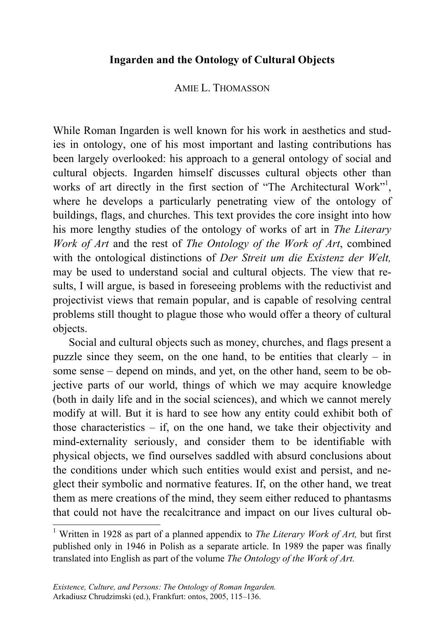### **Ingarden and the Ontology of Cultural Objects**

#### AMIE L. THOMASSON

While Roman Ingarden is well known for his work in aesthetics and studies in ontology, one of his most important and lasting contributions has been largely overlooked: his approach to a general ontology of social and cultural objects. Ingarden himself discusses cultural objects other than works of art directly in the first section of "The Architectural Work"<sup>1</sup>, where he develops a particularly penetrating view of the ontology of buildings, flags, and churches. This text provides the core insight into how his more lengthy studies of the ontology of works of art in *The Literary Work of Art* and the rest of *The Ontology of the Work of Art*, combined with the ontological distinctions of *Der Streit um die Existenz der Welt,*  may be used to understand social and cultural objects. The view that results, I will argue, is based in foreseeing problems with the reductivist and projectivist views that remain popular, and is capable of resolving central problems still thought to plague those who would offer a theory of cultural objects.

Social and cultural objects such as money, churches, and flags present a puzzle since they seem, on the one hand, to be entities that clearly – in some sense – depend on minds, and yet, on the other hand, seem to be objective parts of our world, things of which we may acquire knowledge (both in daily life and in the social sciences), and which we cannot merely modify at will. But it is hard to see how any entity could exhibit both of those characteristics  $-$  if, on the one hand, we take their objectivity and mind-externality seriously, and consider them to be identifiable with physical objects, we find ourselves saddled with absurd conclusions about the conditions under which such entities would exist and persist, and neglect their symbolic and normative features. If, on the other hand, we treat them as mere creations of the mind, they seem either reduced to phantasms that could not have the recalcitrance and impact on our lives cultural ob-

<sup>&</sup>lt;sup>1</sup> Written in 1928 as part of a planned appendix to *The Literary Work of Art*, but first published only in 1946 in Polish as a separate article. In 1989 the paper was finally translated into English as part of the volume *The Ontology of the Work of Art.*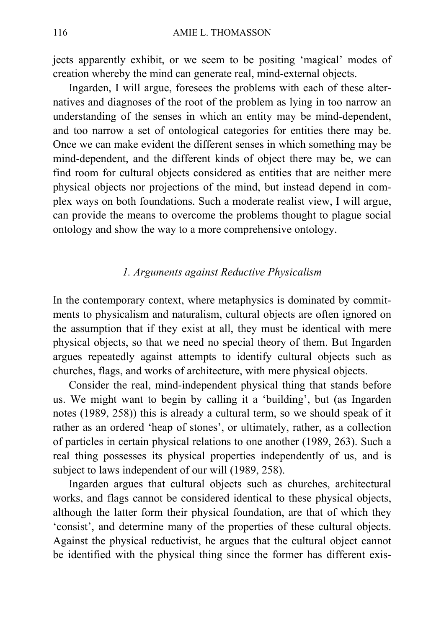jects apparently exhibit, or we seem to be positing 'magical' modes of creation whereby the mind can generate real, mind-external objects.

Ingarden, I will argue, foresees the problems with each of these alternatives and diagnoses of the root of the problem as lying in too narrow an understanding of the senses in which an entity may be mind-dependent, and too narrow a set of ontological categories for entities there may be. Once we can make evident the different senses in which something may be mind-dependent, and the different kinds of object there may be, we can find room for cultural objects considered as entities that are neither mere physical objects nor projections of the mind, but instead depend in complex ways on both foundations. Such a moderate realist view, I will argue, can provide the means to overcome the problems thought to plague social ontology and show the way to a more comprehensive ontology.

### *1. Arguments against Reductive Physicalism*

In the contemporary context, where metaphysics is dominated by commitments to physicalism and naturalism, cultural objects are often ignored on the assumption that if they exist at all, they must be identical with mere physical objects, so that we need no special theory of them. But Ingarden argues repeatedly against attempts to identify cultural objects such as churches, flags, and works of architecture, with mere physical objects.

Consider the real, mind-independent physical thing that stands before us. We might want to begin by calling it a 'building', but (as Ingarden notes (1989, 258)) this is already a cultural term, so we should speak of it rather as an ordered 'heap of stones', or ultimately, rather, as a collection of particles in certain physical relations to one another (1989, 263). Such a real thing possesses its physical properties independently of us, and is subject to laws independent of our will (1989, 258).

Ingarden argues that cultural objects such as churches, architectural works, and flags cannot be considered identical to these physical objects, although the latter form their physical foundation, are that of which they 'consist', and determine many of the properties of these cultural objects. Against the physical reductivist, he argues that the cultural object cannot be identified with the physical thing since the former has different exis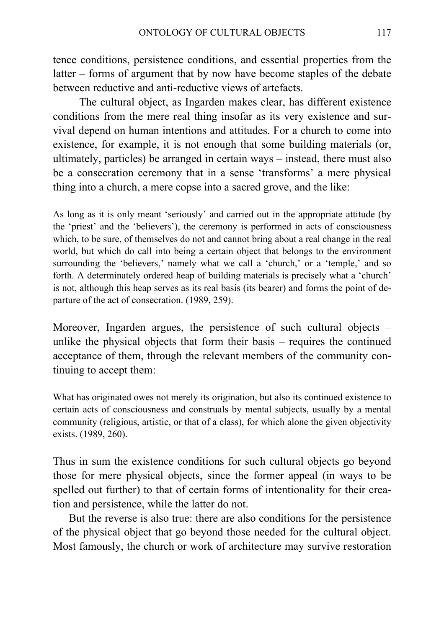tence conditions, persistence conditions, and essential properties from the latter – forms of argument that by now have become staples of the debate between reductive and anti-reductive views of artefacts.

 The cultural object, as Ingarden makes clear, has different existence conditions from the mere real thing insofar as its very existence and survival depend on human intentions and attitudes. For a church to come into existence, for example, it is not enough that some building materials (or, ultimately, particles) be arranged in certain ways – instead, there must also be a consecration ceremony that in a sense 'transforms' a mere physical thing into a church, a mere copse into a sacred grove, and the like:

As long as it is only meant 'seriously' and carried out in the appropriate attitude (by the 'priest' and the 'believers'), the ceremony is performed in acts of consciousness which, to be sure, of themselves do not and cannot bring about a real change in the real world, but which do call into being a certain object that belongs to the environment surrounding the 'believers,' namely what we call a 'church,' or a 'temple,' and so forth. A determinately ordered heap of building materials is precisely what a 'church' is not, although this heap serves as its real basis (its bearer) and forms the point of departure of the act of consecration. (1989, 259).

Moreover, Ingarden argues, the persistence of such cultural objects – unlike the physical objects that form their basis – requires the continued acceptance of them, through the relevant members of the community continuing to accept them:

What has originated owes not merely its origination, but also its continued existence to certain acts of consciousness and construals by mental subjects, usually by a mental community (religious, artistic, or that of a class), for which alone the given objectivity exists. (1989, 260).

Thus in sum the existence conditions for such cultural objects go beyond those for mere physical objects, since the former appeal (in ways to be spelled out further) to that of certain forms of intentionality for their creation and persistence, while the latter do not.

But the reverse is also true: there are also conditions for the persistence of the physical object that go beyond those needed for the cultural object. Most famously, the church or work of architecture may survive restoration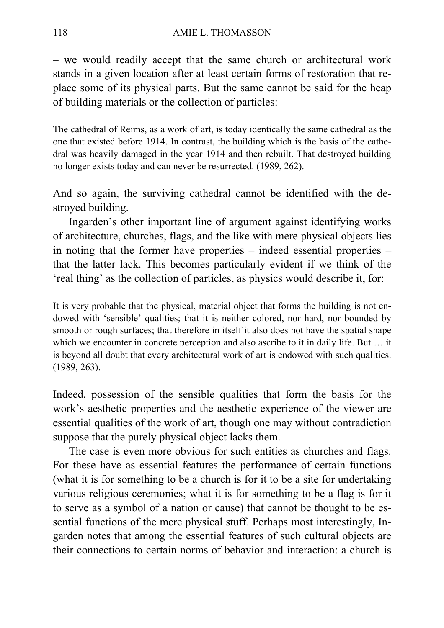– we would readily accept that the same church or architectural work stands in a given location after at least certain forms of restoration that replace some of its physical parts. But the same cannot be said for the heap of building materials or the collection of particles:

The cathedral of Reims, as a work of art, is today identically the same cathedral as the one that existed before 1914. In contrast, the building which is the basis of the cathedral was heavily damaged in the year 1914 and then rebuilt. That destroyed building no longer exists today and can never be resurrected. (1989, 262).

And so again, the surviving cathedral cannot be identified with the destroyed building.

Ingarden's other important line of argument against identifying works of architecture, churches, flags, and the like with mere physical objects lies in noting that the former have properties – indeed essential properties – that the latter lack. This becomes particularly evident if we think of the 'real thing' as the collection of particles, as physics would describe it, for:

It is very probable that the physical, material object that forms the building is not endowed with 'sensible' qualities; that it is neither colored, nor hard, nor bounded by smooth or rough surfaces; that therefore in itself it also does not have the spatial shape which we encounter in concrete perception and also ascribe to it in daily life. But ... it is beyond all doubt that every architectural work of art is endowed with such qualities. (1989, 263).

Indeed, possession of the sensible qualities that form the basis for the work's aesthetic properties and the aesthetic experience of the viewer are essential qualities of the work of art, though one may without contradiction suppose that the purely physical object lacks them.

The case is even more obvious for such entities as churches and flags. For these have as essential features the performance of certain functions (what it is for something to be a church is for it to be a site for undertaking various religious ceremonies; what it is for something to be a flag is for it to serve as a symbol of a nation or cause) that cannot be thought to be essential functions of the mere physical stuff. Perhaps most interestingly, Ingarden notes that among the essential features of such cultural objects are their connections to certain norms of behavior and interaction: a church is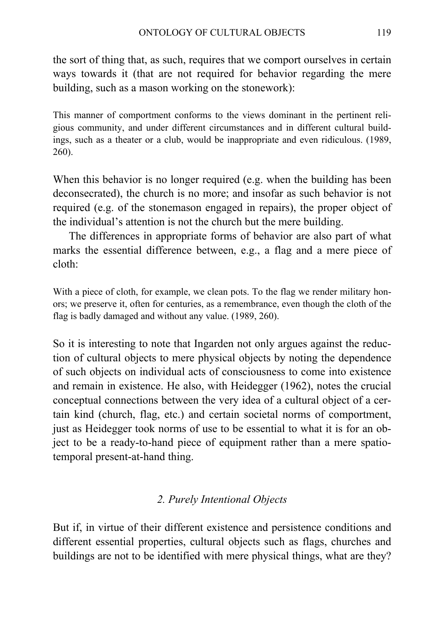the sort of thing that, as such, requires that we comport ourselves in certain ways towards it (that are not required for behavior regarding the mere building, such as a mason working on the stonework):

This manner of comportment conforms to the views dominant in the pertinent religious community, and under different circumstances and in different cultural buildings, such as a theater or a club, would be inappropriate and even ridiculous. (1989, 260).

When this behavior is no longer required (e.g. when the building has been deconsecrated), the church is no more; and insofar as such behavior is not required (e.g. of the stonemason engaged in repairs), the proper object of the individual's attention is not the church but the mere building.

The differences in appropriate forms of behavior are also part of what marks the essential difference between, e.g., a flag and a mere piece of cloth:

With a piece of cloth, for example, we clean pots. To the flag we render military honors; we preserve it, often for centuries, as a remembrance, even though the cloth of the flag is badly damaged and without any value. (1989, 260).

So it is interesting to note that Ingarden not only argues against the reduction of cultural objects to mere physical objects by noting the dependence of such objects on individual acts of consciousness to come into existence and remain in existence. He also, with Heidegger (1962), notes the crucial conceptual connections between the very idea of a cultural object of a certain kind (church, flag, etc.) and certain societal norms of comportment, just as Heidegger took norms of use to be essential to what it is for an object to be a ready-to-hand piece of equipment rather than a mere spatiotemporal present-at-hand thing.

# *2. Purely Intentional Objects*

But if, in virtue of their different existence and persistence conditions and different essential properties, cultural objects such as flags, churches and buildings are not to be identified with mere physical things, what are they?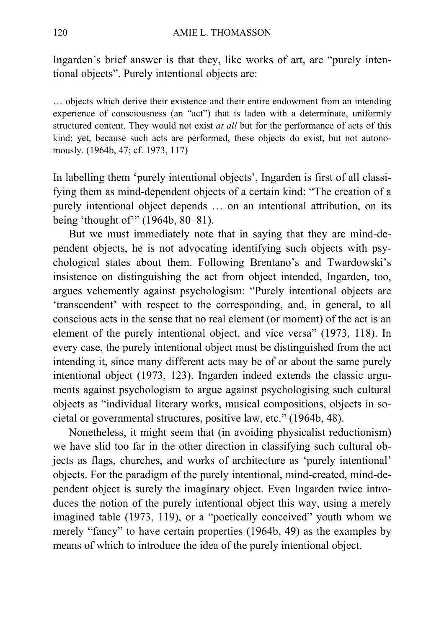Ingarden's brief answer is that they, like works of art, are "purely intentional objects". Purely intentional objects are:

… objects which derive their existence and their entire endowment from an intending experience of consciousness (an "act") that is laden with a determinate, uniformly structured content. They would not exist *at all* but for the performance of acts of this kind; yet, because such acts are performed, these objects do exist, but not autonomously. (1964b, 47; cf. 1973, 117)

In labelling them 'purely intentional objects', Ingarden is first of all classifying them as mind-dependent objects of a certain kind: "The creation of a purely intentional object depends … on an intentional attribution, on its being 'thought of" (1964b, 80–81).

But we must immediately note that in saying that they are mind-dependent objects, he is not advocating identifying such objects with psychological states about them. Following Brentano's and Twardowski's insistence on distinguishing the act from object intended, Ingarden, too, argues vehemently against psychologism: "Purely intentional objects are 'transcendent' with respect to the corresponding, and, in general, to all conscious acts in the sense that no real element (or moment) of the act is an element of the purely intentional object, and vice versa" (1973, 118). In every case, the purely intentional object must be distinguished from the act intending it, since many different acts may be of or about the same purely intentional object (1973, 123). Ingarden indeed extends the classic arguments against psychologism to argue against psychologising such cultural objects as "individual literary works, musical compositions, objects in societal or governmental structures, positive law, etc." (1964b, 48).

Nonetheless, it might seem that (in avoiding physicalist reductionism) we have slid too far in the other direction in classifying such cultural objects as flags, churches, and works of architecture as 'purely intentional' objects. For the paradigm of the purely intentional, mind-created, mind-dependent object is surely the imaginary object. Even Ingarden twice introduces the notion of the purely intentional object this way, using a merely imagined table (1973, 119), or a "poetically conceived" youth whom we merely "fancy" to have certain properties (1964b, 49) as the examples by means of which to introduce the idea of the purely intentional object.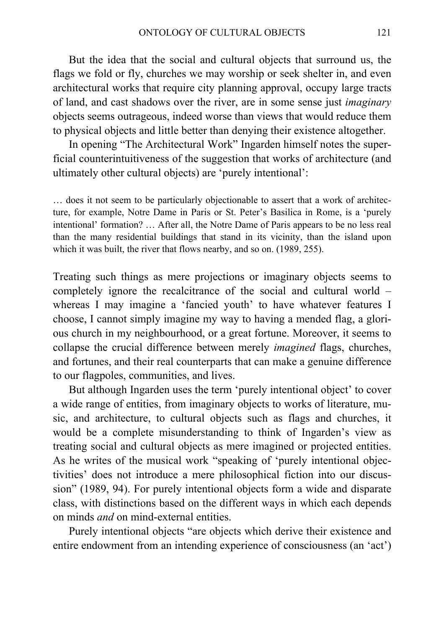But the idea that the social and cultural objects that surround us, the flags we fold or fly, churches we may worship or seek shelter in, and even architectural works that require city planning approval, occupy large tracts of land, and cast shadows over the river, are in some sense just *imaginary* objects seems outrageous, indeed worse than views that would reduce them to physical objects and little better than denying their existence altogether.

In opening "The Architectural Work" Ingarden himself notes the superficial counterintuitiveness of the suggestion that works of architecture (and ultimately other cultural objects) are 'purely intentional':

… does it not seem to be particularly objectionable to assert that a work of architecture, for example, Notre Dame in Paris or St. Peter's Basilica in Rome, is a 'purely intentional' formation? … After all, the Notre Dame of Paris appears to be no less real than the many residential buildings that stand in its vicinity, than the island upon which it was built, the river that flows nearby, and so on. (1989, 255).

Treating such things as mere projections or imaginary objects seems to completely ignore the recalcitrance of the social and cultural world – whereas I may imagine a 'fancied youth' to have whatever features I choose, I cannot simply imagine my way to having a mended flag, a glorious church in my neighbourhood, or a great fortune. Moreover, it seems to collapse the crucial difference between merely *imagined* flags, churches, and fortunes, and their real counterparts that can make a genuine difference to our flagpoles, communities, and lives.

But although Ingarden uses the term 'purely intentional object' to cover a wide range of entities, from imaginary objects to works of literature, music, and architecture, to cultural objects such as flags and churches, it would be a complete misunderstanding to think of Ingarden's view as treating social and cultural objects as mere imagined or projected entities. As he writes of the musical work "speaking of 'purely intentional objectivities' does not introduce a mere philosophical fiction into our discussion" (1989, 94). For purely intentional objects form a wide and disparate class, with distinctions based on the different ways in which each depends on minds *and* on mind-external entities.

Purely intentional objects "are objects which derive their existence and entire endowment from an intending experience of consciousness (an 'act')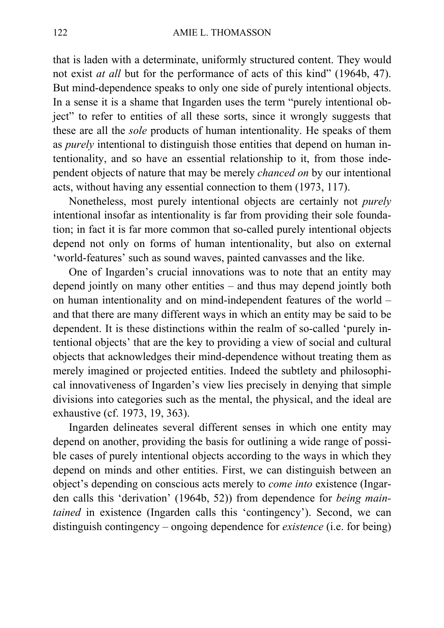that is laden with a determinate, uniformly structured content. They would not exist *at all* but for the performance of acts of this kind" (1964b, 47). But mind-dependence speaks to only one side of purely intentional objects. In a sense it is a shame that Ingarden uses the term "purely intentional object" to refer to entities of all these sorts, since it wrongly suggests that these are all the *sole* products of human intentionality. He speaks of them as *purely* intentional to distinguish those entities that depend on human intentionality, and so have an essential relationship to it, from those independent objects of nature that may be merely *chanced on* by our intentional acts, without having any essential connection to them (1973, 117).

Nonetheless, most purely intentional objects are certainly not *purely* intentional insofar as intentionality is far from providing their sole foundation; in fact it is far more common that so-called purely intentional objects depend not only on forms of human intentionality, but also on external 'world-features' such as sound waves, painted canvasses and the like.

One of Ingarden's crucial innovations was to note that an entity may depend jointly on many other entities – and thus may depend jointly both on human intentionality and on mind-independent features of the world – and that there are many different ways in which an entity may be said to be dependent. It is these distinctions within the realm of so-called 'purely intentional objects' that are the key to providing a view of social and cultural objects that acknowledges their mind-dependence without treating them as merely imagined or projected entities. Indeed the subtlety and philosophical innovativeness of Ingarden's view lies precisely in denying that simple divisions into categories such as the mental, the physical, and the ideal are exhaustive (cf. 1973, 19, 363).

Ingarden delineates several different senses in which one entity may depend on another, providing the basis for outlining a wide range of possible cases of purely intentional objects according to the ways in which they depend on minds and other entities. First, we can distinguish between an object's depending on conscious acts merely to *come into* existence (Ingarden calls this 'derivation' (1964b, 52)) from dependence for *being maintained* in existence (Ingarden calls this 'contingency'). Second, we can distinguish contingency – ongoing dependence for *existence* (i.e. for being)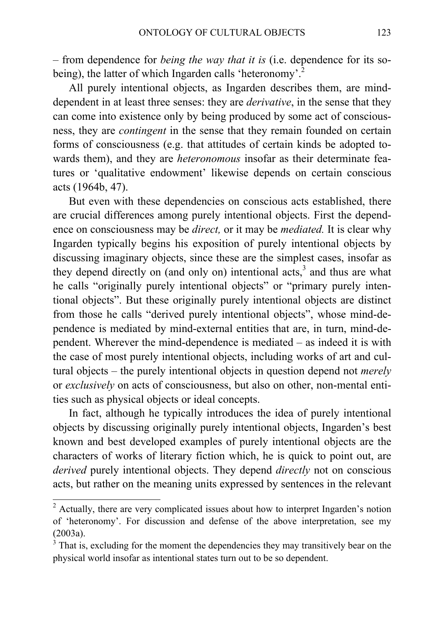– from dependence for *being the way that it is* (i.e. dependence for its sobeing), the latter of which Ingarden calls 'heteronomy'.<sup>2</sup>

All purely intentional objects, as Ingarden describes them, are minddependent in at least three senses: they are *derivative*, in the sense that they can come into existence only by being produced by some act of consciousness, they are *contingent* in the sense that they remain founded on certain forms of consciousness (e.g. that attitudes of certain kinds be adopted towards them), and they are *heteronomous* insofar as their determinate features or 'qualitative endowment' likewise depends on certain conscious acts (1964b, 47).

But even with these dependencies on conscious acts established, there are crucial differences among purely intentional objects. First the dependence on consciousness may be *direct,* or it may be *mediated.* It is clear why Ingarden typically begins his exposition of purely intentional objects by discussing imaginary objects, since these are the simplest cases, insofar as they depend directly on (and only on) intentional acts, $3$  and thus are what he calls "originally purely intentional objects" or "primary purely intentional objects". But these originally purely intentional objects are distinct from those he calls "derived purely intentional objects", whose mind-dependence is mediated by mind-external entities that are, in turn, mind-dependent. Wherever the mind-dependence is mediated – as indeed it is with the case of most purely intentional objects, including works of art and cultural objects – the purely intentional objects in question depend not *merely* or *exclusively* on acts of consciousness, but also on other, non-mental entities such as physical objects or ideal concepts.

In fact, although he typically introduces the idea of purely intentional objects by discussing originally purely intentional objects, Ingarden's best known and best developed examples of purely intentional objects are the characters of works of literary fiction which, he is quick to point out, are *derived* purely intentional objects. They depend *directly* not on conscious acts, but rather on the meaning units expressed by sentences in the relevant

<sup>&</sup>lt;sup>2</sup> Actually, there are very complicated issues about how to interpret Ingarden's notion of 'heteronomy'. For discussion and defense of the above interpretation, see my (2003a).

 $3$  That is, excluding for the moment the dependencies they may transitively bear on the physical world insofar as intentional states turn out to be so dependent.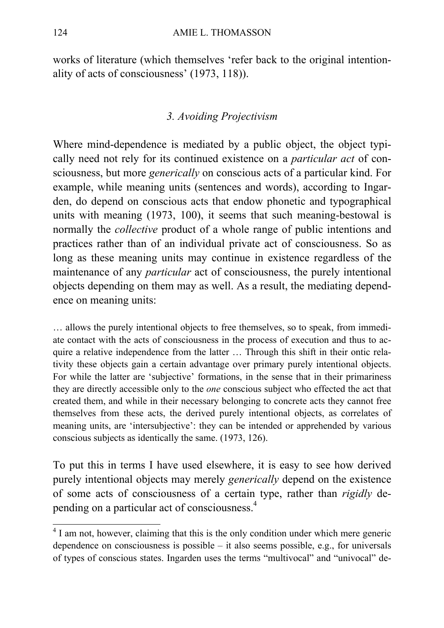works of literature (which themselves 'refer back to the original intentionality of acts of consciousness' (1973, 118)).

## *3. Avoiding Projectivism*

Where mind-dependence is mediated by a public object, the object typically need not rely for its continued existence on a *particular act* of consciousness, but more *generically* on conscious acts of a particular kind. For example, while meaning units (sentences and words), according to Ingarden, do depend on conscious acts that endow phonetic and typographical units with meaning (1973, 100), it seems that such meaning-bestowal is normally the *collective* product of a whole range of public intentions and practices rather than of an individual private act of consciousness. So as long as these meaning units may continue in existence regardless of the maintenance of any *particular* act of consciousness, the purely intentional objects depending on them may as well. As a result, the mediating dependence on meaning units:

… allows the purely intentional objects to free themselves, so to speak, from immediate contact with the acts of consciousness in the process of execution and thus to acquire a relative independence from the latter … Through this shift in their ontic relativity these objects gain a certain advantage over primary purely intentional objects. For while the latter are 'subjective' formations, in the sense that in their primariness they are directly accessible only to the *one* conscious subject who effected the act that created them, and while in their necessary belonging to concrete acts they cannot free themselves from these acts, the derived purely intentional objects, as correlates of meaning units, are 'intersubjective': they can be intended or apprehended by various conscious subjects as identically the same. (1973, 126).

To put this in terms I have used elsewhere, it is easy to see how derived purely intentional objects may merely *generically* depend on the existence of some acts of consciousness of a certain type, rather than *rigidly* depending on a particular act of consciousness.<sup>4</sup>

<sup>&</sup>lt;sup>4</sup> I am not, however, claiming that this is the only condition under which mere generic dependence on consciousness is possible – it also seems possible, e.g., for universals of types of conscious states. Ingarden uses the terms "multivocal" and "univocal" de-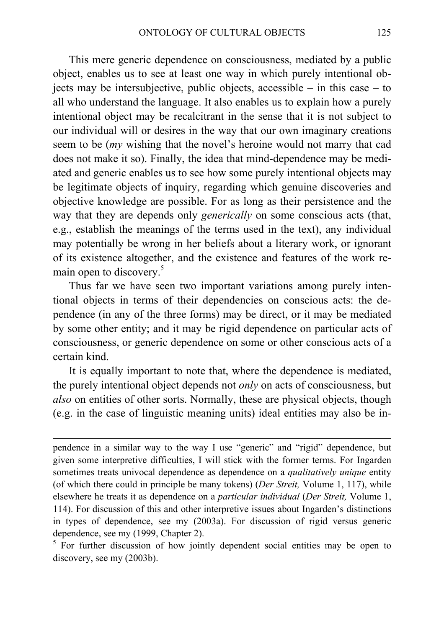This mere generic dependence on consciousness, mediated by a public object, enables us to see at least one way in which purely intentional objects may be intersubjective, public objects, accessible – in this case – to all who understand the language. It also enables us to explain how a purely intentional object may be recalcitrant in the sense that it is not subject to our individual will or desires in the way that our own imaginary creations seem to be (*my* wishing that the novel's heroine would not marry that cad does not make it so). Finally, the idea that mind-dependence may be mediated and generic enables us to see how some purely intentional objects may be legitimate objects of inquiry, regarding which genuine discoveries and objective knowledge are possible. For as long as their persistence and the way that they are depends only *generically* on some conscious acts (that, e.g., establish the meanings of the terms used in the text), any individual may potentially be wrong in her beliefs about a literary work, or ignorant of its existence altogether, and the existence and features of the work remain open to discovery.<sup>5</sup>

Thus far we have seen two important variations among purely intentional objects in terms of their dependencies on conscious acts: the dependence (in any of the three forms) may be direct, or it may be mediated by some other entity; and it may be rigid dependence on particular acts of consciousness, or generic dependence on some or other conscious acts of a certain kind.

It is equally important to note that, where the dependence is mediated, the purely intentional object depends not *only* on acts of consciousness, but *also* on entities of other sorts. Normally, these are physical objects, though (e.g. in the case of linguistic meaning units) ideal entities may also be in-

 $\overline{a}$ 

pendence in a similar way to the way I use "generic" and "rigid" dependence, but given some interpretive difficulties, I will stick with the former terms. For Ingarden sometimes treats univocal dependence as dependence on a *qualitatively unique* entity (of which there could in principle be many tokens) (*Der Streit,* Volume 1, 117), while elsewhere he treats it as dependence on a *particular individual* (*Der Streit,* Volume 1, 114). For discussion of this and other interpretive issues about Ingarden's distinctions in types of dependence, see my (2003a). For discussion of rigid versus generic dependence, see my (1999, Chapter 2).

<sup>5</sup> For further discussion of how jointly dependent social entities may be open to discovery, see my (2003b).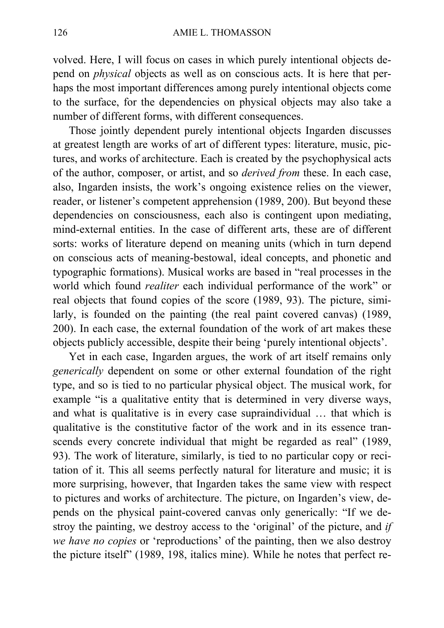volved. Here, I will focus on cases in which purely intentional objects depend on *physical* objects as well as on conscious acts. It is here that perhaps the most important differences among purely intentional objects come to the surface, for the dependencies on physical objects may also take a number of different forms, with different consequences.

Those jointly dependent purely intentional objects Ingarden discusses at greatest length are works of art of different types: literature, music, pictures, and works of architecture. Each is created by the psychophysical acts of the author, composer, or artist, and so *derived from* these. In each case, also, Ingarden insists, the work's ongoing existence relies on the viewer, reader, or listener's competent apprehension (1989, 200). But beyond these dependencies on consciousness, each also is contingent upon mediating, mind-external entities. In the case of different arts, these are of different sorts: works of literature depend on meaning units (which in turn depend on conscious acts of meaning-bestowal, ideal concepts, and phonetic and typographic formations). Musical works are based in "real processes in the world which found *realiter* each individual performance of the work" or real objects that found copies of the score (1989, 93). The picture, similarly, is founded on the painting (the real paint covered canvas) (1989, 200). In each case, the external foundation of the work of art makes these objects publicly accessible, despite their being 'purely intentional objects'.

Yet in each case, Ingarden argues, the work of art itself remains only *generically* dependent on some or other external foundation of the right type, and so is tied to no particular physical object. The musical work, for example "is a qualitative entity that is determined in very diverse ways, and what is qualitative is in every case supraindividual … that which is qualitative is the constitutive factor of the work and in its essence transcends every concrete individual that might be regarded as real" (1989, 93). The work of literature, similarly, is tied to no particular copy or recitation of it. This all seems perfectly natural for literature and music; it is more surprising, however, that Ingarden takes the same view with respect to pictures and works of architecture. The picture, on Ingarden's view, depends on the physical paint-covered canvas only generically: "If we destroy the painting, we destroy access to the 'original' of the picture, and *if we have no copies* or 'reproductions' of the painting, then we also destroy the picture itself" (1989, 198, italics mine). While he notes that perfect re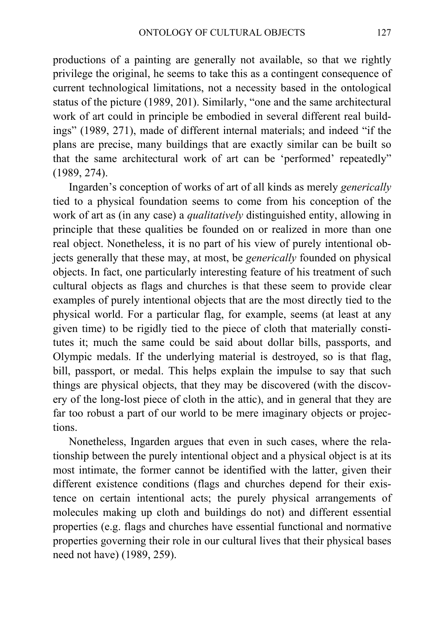productions of a painting are generally not available, so that we rightly privilege the original, he seems to take this as a contingent consequence of current technological limitations, not a necessity based in the ontological status of the picture (1989, 201). Similarly, "one and the same architectural work of art could in principle be embodied in several different real buildings" (1989, 271), made of different internal materials; and indeed "if the plans are precise, many buildings that are exactly similar can be built so that the same architectural work of art can be 'performed' repeatedly" (1989, 274).

Ingarden's conception of works of art of all kinds as merely *generically* tied to a physical foundation seems to come from his conception of the work of art as (in any case) a *qualitatively* distinguished entity, allowing in principle that these qualities be founded on or realized in more than one real object. Nonetheless, it is no part of his view of purely intentional objects generally that these may, at most, be *generically* founded on physical objects. In fact, one particularly interesting feature of his treatment of such cultural objects as flags and churches is that these seem to provide clear examples of purely intentional objects that are the most directly tied to the physical world. For a particular flag, for example, seems (at least at any given time) to be rigidly tied to the piece of cloth that materially constitutes it; much the same could be said about dollar bills, passports, and Olympic medals. If the underlying material is destroyed, so is that flag, bill, passport, or medal. This helps explain the impulse to say that such things are physical objects, that they may be discovered (with the discovery of the long-lost piece of cloth in the attic), and in general that they are far too robust a part of our world to be mere imaginary objects or projections.

Nonetheless, Ingarden argues that even in such cases, where the relationship between the purely intentional object and a physical object is at its most intimate, the former cannot be identified with the latter, given their different existence conditions (flags and churches depend for their existence on certain intentional acts; the purely physical arrangements of molecules making up cloth and buildings do not) and different essential properties (e.g. flags and churches have essential functional and normative properties governing their role in our cultural lives that their physical bases need not have) (1989, 259).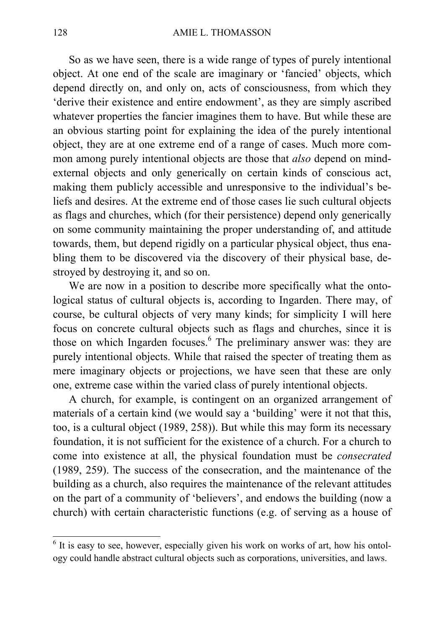So as we have seen, there is a wide range of types of purely intentional object. At one end of the scale are imaginary or 'fancied' objects, which depend directly on, and only on, acts of consciousness, from which they 'derive their existence and entire endowment', as they are simply ascribed whatever properties the fancier imagines them to have. But while these are an obvious starting point for explaining the idea of the purely intentional object, they are at one extreme end of a range of cases. Much more common among purely intentional objects are those that *also* depend on mindexternal objects and only generically on certain kinds of conscious act, making them publicly accessible and unresponsive to the individual's beliefs and desires. At the extreme end of those cases lie such cultural objects as flags and churches, which (for their persistence) depend only generically on some community maintaining the proper understanding of, and attitude towards, them, but depend rigidly on a particular physical object, thus enabling them to be discovered via the discovery of their physical base, destroyed by destroying it, and so on.

We are now in a position to describe more specifically what the ontological status of cultural objects is, according to Ingarden. There may, of course, be cultural objects of very many kinds; for simplicity I will here focus on concrete cultural objects such as flags and churches, since it is those on which Ingarden focuses.<sup>6</sup> The preliminary answer was: they are purely intentional objects. While that raised the specter of treating them as mere imaginary objects or projections, we have seen that these are only one, extreme case within the varied class of purely intentional objects.

A church, for example, is contingent on an organized arrangement of materials of a certain kind (we would say a 'building' were it not that this, too, is a cultural object (1989, 258)). But while this may form its necessary foundation, it is not sufficient for the existence of a church. For a church to come into existence at all, the physical foundation must be *consecrated* (1989, 259). The success of the consecration, and the maintenance of the building as a church, also requires the maintenance of the relevant attitudes on the part of a community of 'believers', and endows the building (now a church) with certain characteristic functions (e.g. of serving as a house of

 $\overline{6}$  It is easy to see, however, especially given his work on works of art, how his ontology could handle abstract cultural objects such as corporations, universities, and laws.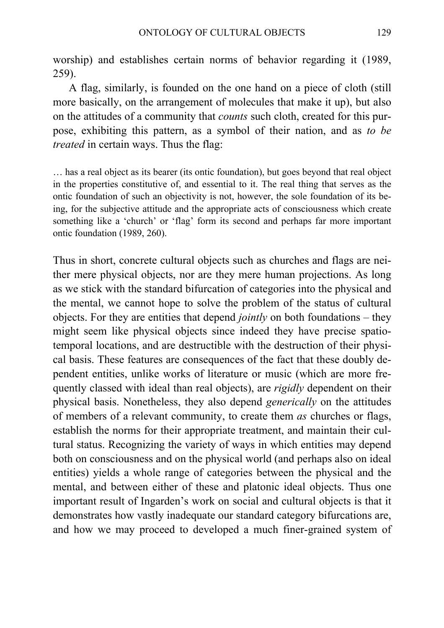worship) and establishes certain norms of behavior regarding it (1989, 259).

A flag, similarly, is founded on the one hand on a piece of cloth (still more basically, on the arrangement of molecules that make it up), but also on the attitudes of a community that *counts* such cloth, created for this purpose, exhibiting this pattern, as a symbol of their nation, and as *to be treated* in certain ways. Thus the flag:

… has a real object as its bearer (its ontic foundation), but goes beyond that real object in the properties constitutive of, and essential to it. The real thing that serves as the ontic foundation of such an objectivity is not, however, the sole foundation of its being, for the subjective attitude and the appropriate acts of consciousness which create something like a 'church' or 'flag' form its second and perhaps far more important ontic foundation (1989, 260).

Thus in short, concrete cultural objects such as churches and flags are neither mere physical objects, nor are they mere human projections. As long as we stick with the standard bifurcation of categories into the physical and the mental, we cannot hope to solve the problem of the status of cultural objects. For they are entities that depend *jointly* on both foundations – they might seem like physical objects since indeed they have precise spatiotemporal locations, and are destructible with the destruction of their physical basis. These features are consequences of the fact that these doubly dependent entities, unlike works of literature or music (which are more frequently classed with ideal than real objects), are *rigidly* dependent on their physical basis. Nonetheless, they also depend *generically* on the attitudes of members of a relevant community, to create them *as* churches or flags, establish the norms for their appropriate treatment, and maintain their cultural status. Recognizing the variety of ways in which entities may depend both on consciousness and on the physical world (and perhaps also on ideal entities) yields a whole range of categories between the physical and the mental, and between either of these and platonic ideal objects. Thus one important result of Ingarden's work on social and cultural objects is that it demonstrates how vastly inadequate our standard category bifurcations are, and how we may proceed to developed a much finer-grained system of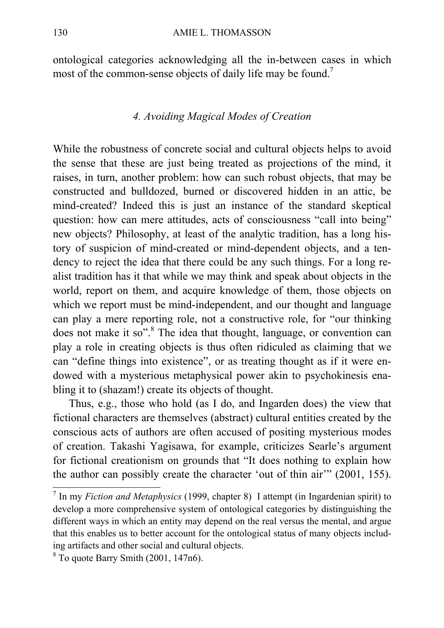ontological categories acknowledging all the in-between cases in which most of the common-sense objects of daily life may be found.<sup>7</sup>

## *4. Avoiding Magical Modes of Creation*

While the robustness of concrete social and cultural objects helps to avoid the sense that these are just being treated as projections of the mind, it raises, in turn, another problem: how can such robust objects, that may be constructed and bulldozed, burned or discovered hidden in an attic, be mind-created? Indeed this is just an instance of the standard skeptical question: how can mere attitudes, acts of consciousness "call into being" new objects? Philosophy, at least of the analytic tradition, has a long history of suspicion of mind-created or mind-dependent objects, and a tendency to reject the idea that there could be any such things. For a long realist tradition has it that while we may think and speak about objects in the world, report on them, and acquire knowledge of them, those objects on which we report must be mind-independent, and our thought and language can play a mere reporting role, not a constructive role, for "our thinking does not make it so".<sup>8</sup> The idea that thought, language, or convention can play a role in creating objects is thus often ridiculed as claiming that we can "define things into existence", or as treating thought as if it were endowed with a mysterious metaphysical power akin to psychokinesis enabling it to (shazam!) create its objects of thought.

Thus, e.g., those who hold (as I do, and Ingarden does) the view that fictional characters are themselves (abstract) cultural entities created by the conscious acts of authors are often accused of positing mysterious modes of creation. Takashi Yagisawa, for example, criticizes Searle's argument for fictional creationism on grounds that "It does nothing to explain how the author can possibly create the character 'out of thin air'" (2001, 155).

 7 In my *Fiction and Metaphysics* (1999, chapter 8) I attempt (in Ingardenian spirit) to develop a more comprehensive system of ontological categories by distinguishing the different ways in which an entity may depend on the real versus the mental, and argue that this enables us to better account for the ontological status of many objects including artifacts and other social and cultural objects.

 $8^8$  To quote Barry Smith (2001, 147n6).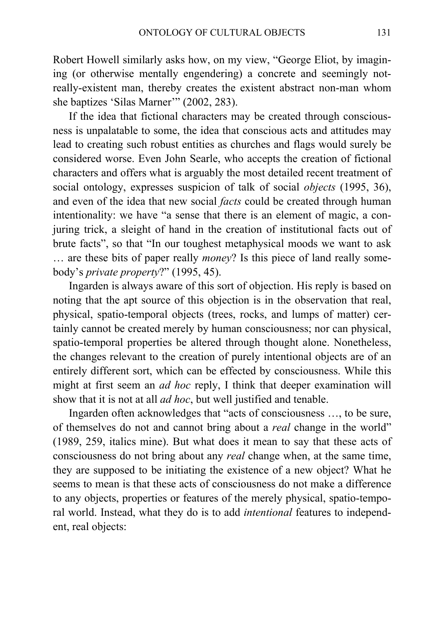Robert Howell similarly asks how, on my view, "George Eliot, by imagining (or otherwise mentally engendering) a concrete and seemingly notreally-existent man, thereby creates the existent abstract non-man whom she baptizes 'Silas Marner'" (2002, 283).

If the idea that fictional characters may be created through consciousness is unpalatable to some, the idea that conscious acts and attitudes may lead to creating such robust entities as churches and flags would surely be considered worse. Even John Searle, who accepts the creation of fictional characters and offers what is arguably the most detailed recent treatment of social ontology, expresses suspicion of talk of social *objects* (1995, 36), and even of the idea that new social *facts* could be created through human intentionality: we have "a sense that there is an element of magic, a conjuring trick, a sleight of hand in the creation of institutional facts out of brute facts", so that "In our toughest metaphysical moods we want to ask … are these bits of paper really *money*? Is this piece of land really somebody's *private property*?" (1995, 45).

Ingarden is always aware of this sort of objection. His reply is based on noting that the apt source of this objection is in the observation that real, physical, spatio-temporal objects (trees, rocks, and lumps of matter) certainly cannot be created merely by human consciousness; nor can physical, spatio-temporal properties be altered through thought alone. Nonetheless, the changes relevant to the creation of purely intentional objects are of an entirely different sort, which can be effected by consciousness. While this might at first seem an *ad hoc* reply, I think that deeper examination will show that it is not at all *ad hoc*, but well justified and tenable.

Ingarden often acknowledges that "acts of consciousness …, to be sure, of themselves do not and cannot bring about a *real* change in the world" (1989, 259, italics mine). But what does it mean to say that these acts of consciousness do not bring about any *real* change when, at the same time, they are supposed to be initiating the existence of a new object? What he seems to mean is that these acts of consciousness do not make a difference to any objects, properties or features of the merely physical, spatio-temporal world. Instead, what they do is to add *intentional* features to independent, real objects: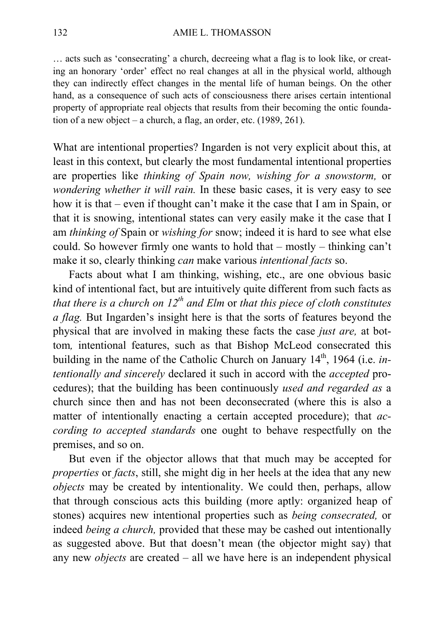… acts such as 'consecrating' a church, decreeing what a flag is to look like, or creating an honorary 'order' effect no real changes at all in the physical world, although they can indirectly effect changes in the mental life of human beings. On the other hand, as a consequence of such acts of consciousness there arises certain intentional property of appropriate real objects that results from their becoming the ontic foundation of a new object – a church, a flag, an order, etc. (1989, 261).

What are intentional properties? Ingarden is not very explicit about this, at least in this context, but clearly the most fundamental intentional properties are properties like *thinking of Spain now, wishing for a snowstorm,* or *wondering whether it will rain.* In these basic cases, it is very easy to see how it is that – even if thought can't make it the case that I am in Spain, or that it is snowing, intentional states can very easily make it the case that I am *thinking of* Spain or *wishing for* snow; indeed it is hard to see what else could. So however firmly one wants to hold that – mostly – thinking can't make it so, clearly thinking *can* make various *intentional facts* so.

Facts about what I am thinking, wishing, etc., are one obvious basic kind of intentional fact, but are intuitively quite different from such facts as *that there is a church on 12th and Elm* or *that this piece of cloth constitutes a flag.* But Ingarden's insight here is that the sorts of features beyond the physical that are involved in making these facts the case *just are,* at bottom*,* intentional features, such as that Bishop McLeod consecrated this building in the name of the Catholic Church on January 14<sup>th</sup>, 1964 (i.e. *intentionally and sincerely* declared it such in accord with the *accepted* procedures); that the building has been continuously *used and regarded as* a church since then and has not been deconsecrated (where this is also a matter of intentionally enacting a certain accepted procedure); that *according to accepted standards* one ought to behave respectfully on the premises, and so on.

But even if the objector allows that that much may be accepted for *properties* or *facts*, still, she might dig in her heels at the idea that any new *objects* may be created by intentionality. We could then, perhaps, allow that through conscious acts this building (more aptly: organized heap of stones) acquires new intentional properties such as *being consecrated,* or indeed *being a church,* provided that these may be cashed out intentionally as suggested above. But that doesn't mean (the objector might say) that any new *objects* are created – all we have here is an independent physical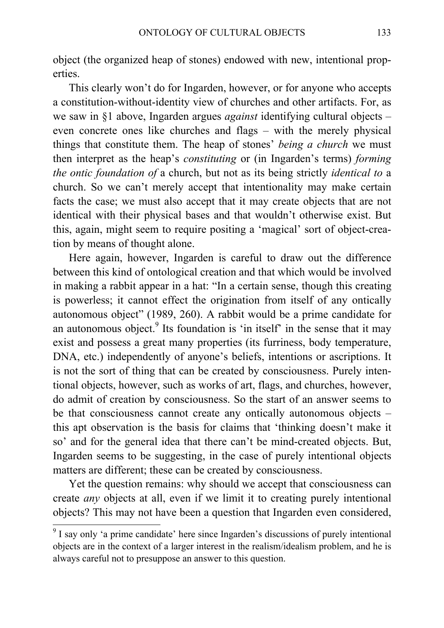object (the organized heap of stones) endowed with new, intentional properties.

This clearly won't do for Ingarden, however, or for anyone who accepts a constitution-without-identity view of churches and other artifacts. For, as we saw in §1 above, Ingarden argues *against* identifying cultural objects – even concrete ones like churches and flags – with the merely physical things that constitute them. The heap of stones' *being a church* we must then interpret as the heap's *constituting* or (in Ingarden's terms) *forming the ontic foundation of* a church, but not as its being strictly *identical to* a church. So we can't merely accept that intentionality may make certain facts the case; we must also accept that it may create objects that are not identical with their physical bases and that wouldn't otherwise exist. But this, again, might seem to require positing a 'magical' sort of object-creation by means of thought alone.

Here again, however, Ingarden is careful to draw out the difference between this kind of ontological creation and that which would be involved in making a rabbit appear in a hat: "In a certain sense, though this creating is powerless; it cannot effect the origination from itself of any ontically autonomous object" (1989, 260). A rabbit would be a prime candidate for an autonomous object.<sup>9</sup> Its foundation is 'in itself' in the sense that it may exist and possess a great many properties (its furriness, body temperature, DNA, etc.) independently of anyone's beliefs, intentions or ascriptions. It is not the sort of thing that can be created by consciousness. Purely intentional objects, however, such as works of art, flags, and churches, however, do admit of creation by consciousness. So the start of an answer seems to be that consciousness cannot create any ontically autonomous objects – this apt observation is the basis for claims that 'thinking doesn't make it so' and for the general idea that there can't be mind-created objects. But, Ingarden seems to be suggesting, in the case of purely intentional objects matters are different; these can be created by consciousness.

Yet the question remains: why should we accept that consciousness can create *any* objects at all, even if we limit it to creating purely intentional objects? This may not have been a question that Ingarden even considered,

 $9<sup>9</sup>$  I say only 'a prime candidate' here since Ingarden's discussions of purely intentional objects are in the context of a larger interest in the realism/idealism problem, and he is always careful not to presuppose an answer to this question.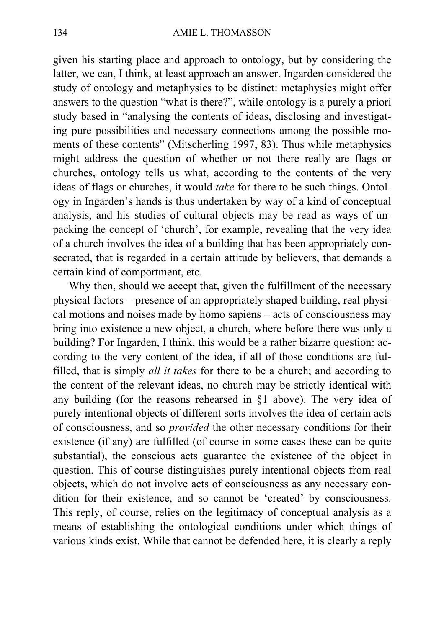given his starting place and approach to ontology, but by considering the latter, we can, I think, at least approach an answer. Ingarden considered the study of ontology and metaphysics to be distinct: metaphysics might offer answers to the question "what is there?", while ontology is a purely a priori study based in "analysing the contents of ideas, disclosing and investigating pure possibilities and necessary connections among the possible moments of these contents" (Mitscherling 1997, 83). Thus while metaphysics might address the question of whether or not there really are flags or churches, ontology tells us what, according to the contents of the very ideas of flags or churches, it would *take* for there to be such things. Ontology in Ingarden's hands is thus undertaken by way of a kind of conceptual analysis, and his studies of cultural objects may be read as ways of unpacking the concept of 'church', for example, revealing that the very idea of a church involves the idea of a building that has been appropriately consecrated, that is regarded in a certain attitude by believers, that demands a certain kind of comportment, etc.

Why then, should we accept that, given the fulfillment of the necessary physical factors – presence of an appropriately shaped building, real physical motions and noises made by homo sapiens – acts of consciousness may bring into existence a new object, a church, where before there was only a building? For Ingarden, I think, this would be a rather bizarre question: according to the very content of the idea, if all of those conditions are fulfilled, that is simply *all it takes* for there to be a church; and according to the content of the relevant ideas, no church may be strictly identical with any building (for the reasons rehearsed in §1 above). The very idea of purely intentional objects of different sorts involves the idea of certain acts of consciousness, and so *provided* the other necessary conditions for their existence (if any) are fulfilled (of course in some cases these can be quite substantial), the conscious acts guarantee the existence of the object in question. This of course distinguishes purely intentional objects from real objects, which do not involve acts of consciousness as any necessary condition for their existence, and so cannot be 'created' by consciousness. This reply, of course, relies on the legitimacy of conceptual analysis as a means of establishing the ontological conditions under which things of various kinds exist. While that cannot be defended here, it is clearly a reply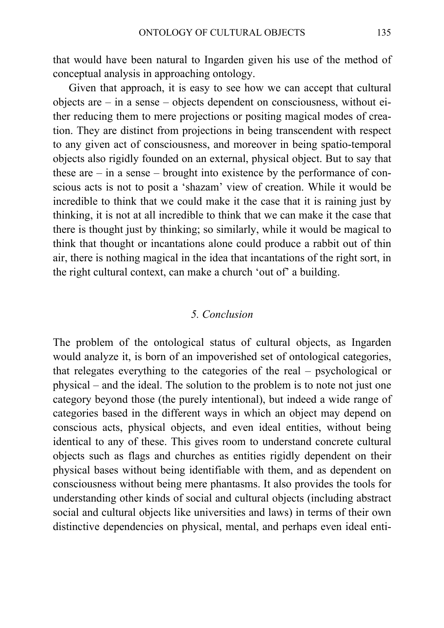that would have been natural to Ingarden given his use of the method of conceptual analysis in approaching ontology.

Given that approach, it is easy to see how we can accept that cultural objects are – in a sense – objects dependent on consciousness, without either reducing them to mere projections or positing magical modes of creation. They are distinct from projections in being transcendent with respect to any given act of consciousness, and moreover in being spatio-temporal objects also rigidly founded on an external, physical object. But to say that these are – in a sense – brought into existence by the performance of conscious acts is not to posit a 'shazam' view of creation. While it would be incredible to think that we could make it the case that it is raining just by thinking, it is not at all incredible to think that we can make it the case that there is thought just by thinking; so similarly, while it would be magical to think that thought or incantations alone could produce a rabbit out of thin air, there is nothing magical in the idea that incantations of the right sort, in the right cultural context, can make a church 'out of' a building.

#### *5. Conclusion*

The problem of the ontological status of cultural objects, as Ingarden would analyze it, is born of an impoverished set of ontological categories, that relegates everything to the categories of the real – psychological or physical – and the ideal. The solution to the problem is to note not just one category beyond those (the purely intentional), but indeed a wide range of categories based in the different ways in which an object may depend on conscious acts, physical objects, and even ideal entities, without being identical to any of these. This gives room to understand concrete cultural objects such as flags and churches as entities rigidly dependent on their physical bases without being identifiable with them, and as dependent on consciousness without being mere phantasms. It also provides the tools for understanding other kinds of social and cultural objects (including abstract social and cultural objects like universities and laws) in terms of their own distinctive dependencies on physical, mental, and perhaps even ideal enti